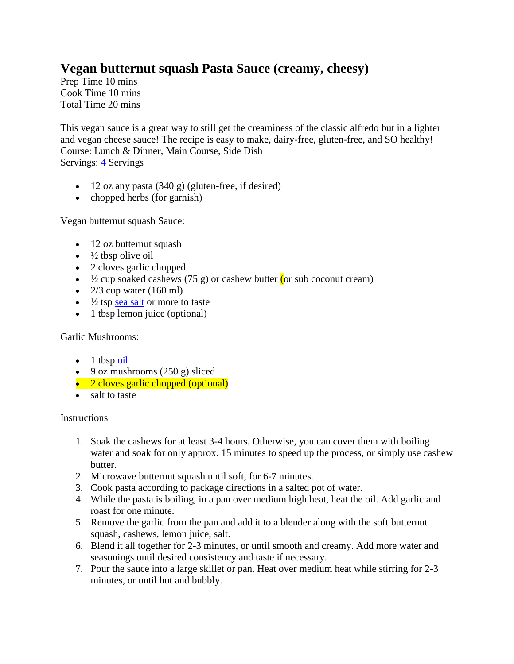## **Vegan butternut squash Pasta Sauce (creamy, cheesy)**

Prep Time 10 mins Cook Time 10 mins Total Time 20 mins

This vegan sauce is a great way to still get the creaminess of the classic alfredo but in a lighter and vegan cheese sauce! The recipe is easy to make, dairy-free, gluten-free, and SO healthy! Course: Lunch & Dinner, Main Course, Side Dish Servings: [4](https://biancazapatka.com/en/2018/12/03/vegan-sweet-potato-pasta-sauce/) Servings

- $\bullet$  12 oz any pasta (340 g) (gluten-free, if desired)
- $\bullet$  chopped herbs (for garnish)

Vegan butternut squash Sauce:

- 12 oz butternut squash
- $\cdot$   $\frac{1}{2}$  tbsp olive oil
- 2 cloves garlic chopped
- $\frac{1}{2}$  cup soaked cashews (75 g) or cashew butter (or sub coconut cream)
- $\bullet$  2/3 cup water (160 ml)
- $\cdot$   $\frac{1}{2}$  tsp [sea salt](https://www.amazon.de/Byodo-Atlantik-Meersalz-fein-1000-gr/dp/B001IOTX3W?SubscriptionId=AKIAIE2DO3PMMILTHHKA&tag=fitnessbianca-21&linkCode=alb&camp=2025&creative=165953&creativeASIN=B001IOTX3W) or more to taste
- 1 tbsp lemon juice (optional)

## Garlic Mushrooms:

- $\bullet$  1 tbsp [oil](https://www.amazon.de/Ölmühle-Solling-Woköl-nativ-500ml/dp/B0713VN3J3?SubscriptionId=AKIAIE2DO3PMMILTHHKA&tag=fitnessbianca-21&linkCode=alb&camp=2025&creative=165953&creativeASIN=B0713VN3J3)
- $\bullet$  9 oz mushrooms (250 g) sliced
- 2 cloves garlic chopped (optional)
- salt to taste

## **Instructions**

- 1. Soak the cashews for at least 3-4 hours. Otherwise, you can cover them with boiling water and soak for only approx. 15 minutes to speed up the process, or simply use cashew butter.
- 2. Microwave butternut squash until soft, for 6-7 minutes.
- 3. Cook pasta according to package directions in a salted pot of water.
- 4. While the pasta is boiling, in a pan over medium high heat, heat the oil. Add garlic and roast for one minute.
- 5. Remove the garlic from the pan and add it to a blender along with the soft butternut squash, cashews, lemon juice, salt.
- 6. Blend it all together for 2-3 minutes, or until smooth and creamy. Add more water and seasonings until desired consistency and taste if necessary.
- 7. Pour the sauce into a large skillet or pan. Heat over medium heat while stirring for 2-3 minutes, or until hot and bubbly.